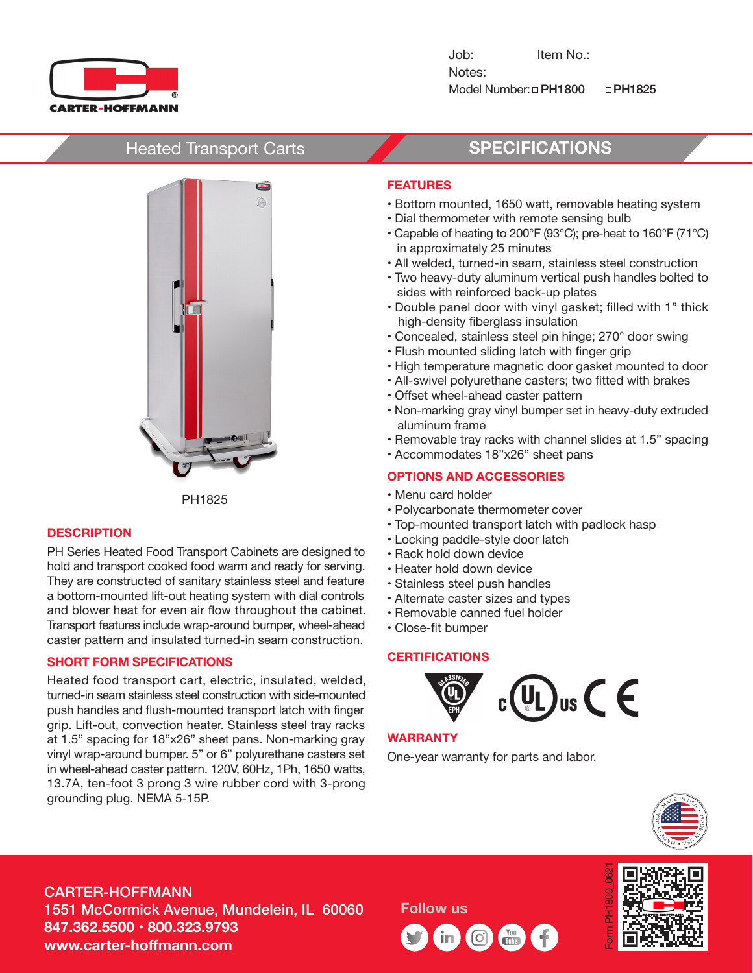

Job: Item No.: Notes: Model Number:  $\Box$ PH1800  $\Box$ PH1825

# Heated Transport Carts **SPECIFICATIONS**



PH1825

#### **DESCRIPTION**

PH Series Heated Food Transport Cabinets are designed to hold and transport cooked food warm and ready for serving. They are constructed of sanitary stainless steel and feature a bottom-mounted lift-out heating system with dial controls and blower heat for even air flow throughout the cabinet. Transport features include wrap-around bumper, wheel-ahead caster pattern and insulated turned-in seam construction.

#### **SHORT FORM SPECIFICATIONS**

Heated food transport cart, electric, insulated, welded, turned-in seam stainless steel construction with side-mounted push handles and flush-mounted transport latch with finger grip. Lift-out, convection heater. Stainless steel tray racks at 1.5" spacing for 18"x26" sheet pans. Non-marking gray vinyl wrap-around bumper. 5" or 6" polyurethane casters set in wheel-ahead caster pattern. 120V, 60Hz, 1Ph, 1650 watts, 13.7A, ten-foot 3 prong 3 wire rubber cord with 3-prong grounding plug. NEMA 5-15P.

### **FEATURES**

- Bottom mounted, 1650 watt, removable heating system
- Dial thermometer with remote sensing bulb
- Capable of heating to 200°F (93°C); pre-heat to 160°F (71°C) in approximately 25 minutes
- All welded, turned-in seam, stainless steel construction
- Two heavy-duty aluminum vertical push handles bolted to sides with reinforced back-up plates
- Double panel door with vinyl gasket; filled with 1" thick high-density fiberglass insulation
- Concealed, stainless steel pin hinge; 270° door swing
- Flush mounted sliding latch with finger grip
- High temperature magnetic door gasket mounted to door
- All-swivel polyurethane casters; two fitted with brakes
- Offset wheel-ahead caster pattern
- Non-marking gray vinyl bumper set in heavy-duty extruded aluminum frame
- Removable tray racks with channel slides at 1.5" spacing
- Accommodates 18"x26" sheet pans

## **OPTIONS AND ACCESSORIES**

- Menu card holder
- Polycarbonate thermometer cover
- Top-mounted transport latch with padlock hasp
- Locking paddle-style door latch
- Rack hold down device
- Heater hold down device
- Stainless steel push handles
- Alternate caster sizes and types
- Removable canned fuel holder
- Close-fit bumper

#### **CERTIFICATIONS**



#### **WARRANTY**

One-year warranty for parts and labor.



# CARTER-HOFFMANN 1551 McCormick Avenue, Mundelein, IL 60060 **847.362.5500 • 800.323.9793 www.carter-hoffmann.com**

**Follow us**